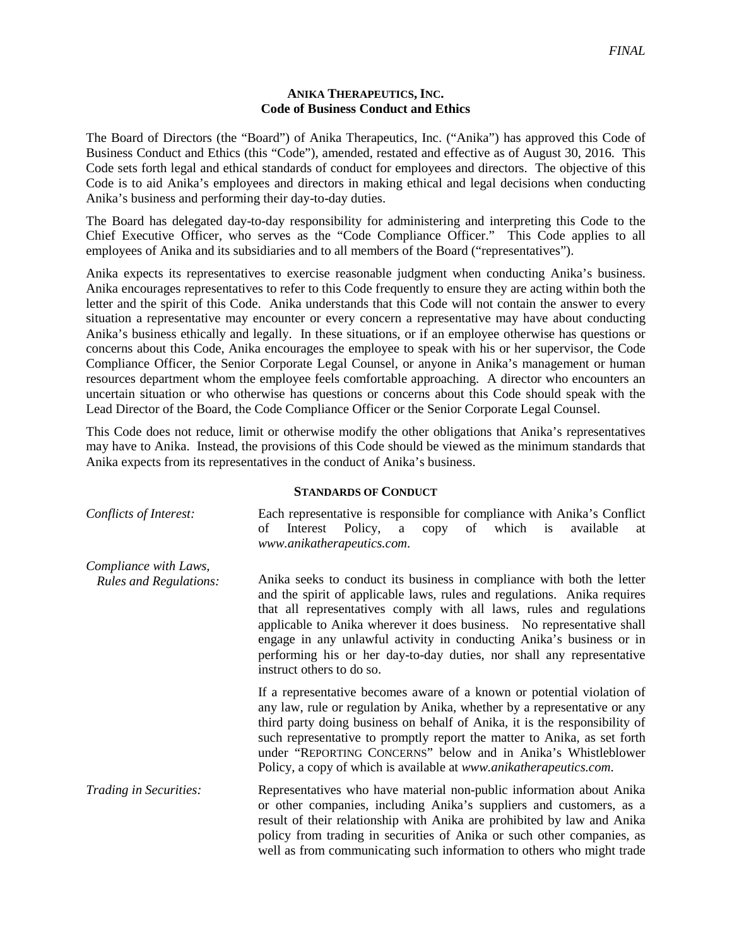## **ANIKA THERAPEUTICS, INC. Code of Business Conduct and Ethics**

The Board of Directors (the "Board") of Anika Therapeutics, Inc. ("Anika") has approved this Code of Business Conduct and Ethics (this "Code"), amended, restated and effective as of August 30, 2016. This Code sets forth legal and ethical standards of conduct for employees and directors. The objective of this Code is to aid Anika's employees and directors in making ethical and legal decisions when conducting Anika's business and performing their day-to-day duties.

The Board has delegated day-to-day responsibility for administering and interpreting this Code to the Chief Executive Officer, who serves as the "Code Compliance Officer." This Code applies to all employees of Anika and its subsidiaries and to all members of the Board ("representatives").

Anika expects its representatives to exercise reasonable judgment when conducting Anika's business. Anika encourages representatives to refer to this Code frequently to ensure they are acting within both the letter and the spirit of this Code. Anika understands that this Code will not contain the answer to every situation a representative may encounter or every concern a representative may have about conducting Anika's business ethically and legally. In these situations, or if an employee otherwise has questions or concerns about this Code, Anika encourages the employee to speak with his or her supervisor, the Code Compliance Officer, the Senior Corporate Legal Counsel, or anyone in Anika's management or human resources department whom the employee feels comfortable approaching. A director who encounters an uncertain situation or who otherwise has questions or concerns about this Code should speak with the Lead Director of the Board, the Code Compliance Officer or the Senior Corporate Legal Counsel.

This Code does not reduce, limit or otherwise modify the other obligations that Anika's representatives may have to Anika. Instead, the provisions of this Code should be viewed as the minimum standards that Anika expects from its representatives in the conduct of Anika's business.

## **STANDARDS OF CONDUCT**

| Conflicts of Interest:        | Each representative is responsible for compliance with Anika's Conflict<br>which<br>οf<br>Policy,<br>copy of<br>available<br>Interest<br>is<br>a<br>at<br>www.anikatherapeutics.com.                                                                                                                                                                                                                                                                                               |
|-------------------------------|------------------------------------------------------------------------------------------------------------------------------------------------------------------------------------------------------------------------------------------------------------------------------------------------------------------------------------------------------------------------------------------------------------------------------------------------------------------------------------|
| Compliance with Laws,         |                                                                                                                                                                                                                                                                                                                                                                                                                                                                                    |
| <b>Rules and Regulations:</b> | Anika seeks to conduct its business in compliance with both the letter<br>and the spirit of applicable laws, rules and regulations. Anika requires<br>that all representatives comply with all laws, rules and regulations<br>applicable to Anika wherever it does business. No representative shall<br>engage in any unlawful activity in conducting Anika's business or in<br>performing his or her day-to-day duties, nor shall any representative<br>instruct others to do so. |
|                               | If a representative becomes aware of a known or potential violation of<br>any law, rule or regulation by Anika, whether by a representative or any<br>third party doing business on behalf of Anika, it is the responsibility of<br>such representative to promptly report the matter to Anika, as set forth<br>under "REPORTING CONCERNS" below and in Anika's Whistleblower<br>Policy, a copy of which is available at www.anikatherapeutics.com.                                |
| Trading in Securities:        | Representatives who have material non-public information about Anika<br>or other companies, including Anika's suppliers and customers, as a<br>result of their relationship with Anika are prohibited by law and Anika<br>policy from trading in securities of Anika or such other companies, as<br>well as from communicating such information to others who might trade                                                                                                          |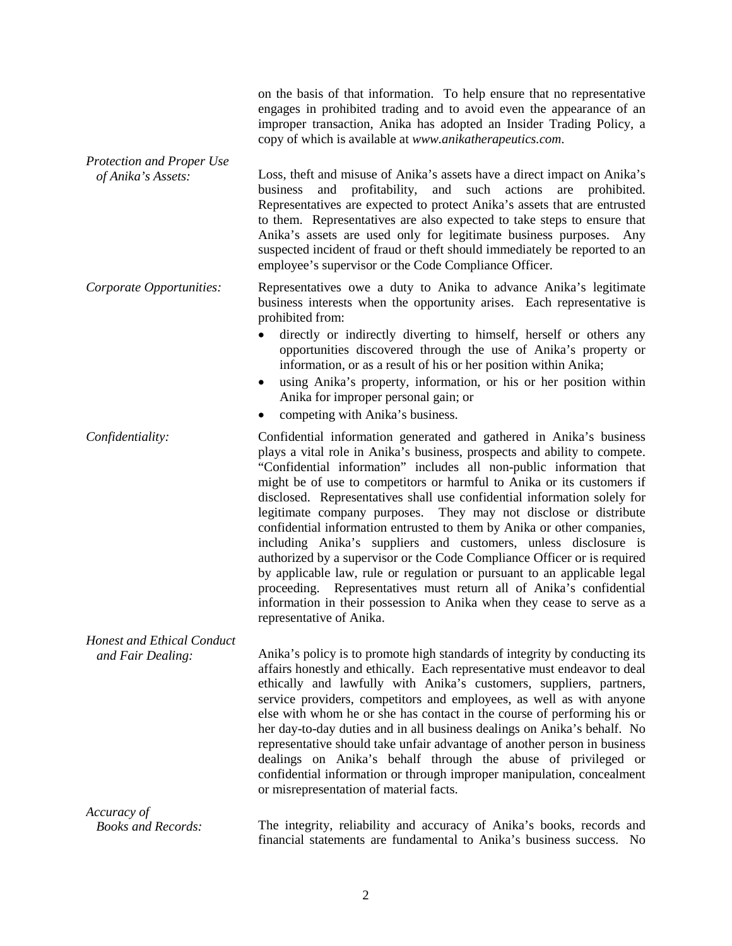|                                                        | on the basis of that information. To help ensure that no representative<br>engages in prohibited trading and to avoid even the appearance of an<br>improper transaction, Anika has adopted an Insider Trading Policy, a<br>copy of which is available at www.anikatherapeutics.com.                                                                                                                                                                                                                                                                                                                                                                                                                                                                                                                                                                                                                                                  |
|--------------------------------------------------------|--------------------------------------------------------------------------------------------------------------------------------------------------------------------------------------------------------------------------------------------------------------------------------------------------------------------------------------------------------------------------------------------------------------------------------------------------------------------------------------------------------------------------------------------------------------------------------------------------------------------------------------------------------------------------------------------------------------------------------------------------------------------------------------------------------------------------------------------------------------------------------------------------------------------------------------|
| Protection and Proper Use<br>of Anika's Assets:        | Loss, theft and misuse of Anika's assets have a direct impact on Anika's<br>and profitability,<br>business<br>and<br>such actions<br>prohibited.<br>are<br>Representatives are expected to protect Anika's assets that are entrusted<br>to them. Representatives are also expected to take steps to ensure that<br>Anika's assets are used only for legitimate business purposes. Any<br>suspected incident of fraud or theft should immediately be reported to an<br>employee's supervisor or the Code Compliance Officer.                                                                                                                                                                                                                                                                                                                                                                                                          |
| Corporate Opportunities:                               | Representatives owe a duty to Anika to advance Anika's legitimate<br>business interests when the opportunity arises. Each representative is<br>prohibited from:                                                                                                                                                                                                                                                                                                                                                                                                                                                                                                                                                                                                                                                                                                                                                                      |
|                                                        | directly or indirectly diverting to himself, herself or others any<br>opportunities discovered through the use of Anika's property or<br>information, or as a result of his or her position within Anika;<br>using Anika's property, information, or his or her position within<br>Anika for improper personal gain; or<br>competing with Anika's business.                                                                                                                                                                                                                                                                                                                                                                                                                                                                                                                                                                          |
| Confidentiality:                                       | Confidential information generated and gathered in Anika's business<br>plays a vital role in Anika's business, prospects and ability to compete.<br>"Confidential information" includes all non-public information that<br>might be of use to competitors or harmful to Anika or its customers if<br>disclosed. Representatives shall use confidential information solely for<br>legitimate company purposes. They may not disclose or distribute<br>confidential information entrusted to them by Anika or other companies,<br>including Anika's suppliers and customers, unless disclosure is<br>authorized by a supervisor or the Code Compliance Officer or is required<br>by applicable law, rule or regulation or pursuant to an applicable legal<br>proceeding. Representatives must return all of Anika's confidential<br>information in their possession to Anika when they cease to serve as a<br>representative of Anika. |
| <b>Honest and Ethical Conduct</b><br>and Fair Dealing: | Anika's policy is to promote high standards of integrity by conducting its<br>affairs honestly and ethically. Each representative must endeavor to deal<br>ethically and lawfully with Anika's customers, suppliers, partners,<br>service providers, competitors and employees, as well as with anyone<br>else with whom he or she has contact in the course of performing his or<br>her day-to-day duties and in all business dealings on Anika's behalf. No<br>representative should take unfair advantage of another person in business<br>dealings on Anika's behalf through the abuse of privileged or<br>confidential information or through improper manipulation, concealment<br>or misrepresentation of material facts.                                                                                                                                                                                                     |
| Accuracy of                                            |                                                                                                                                                                                                                                                                                                                                                                                                                                                                                                                                                                                                                                                                                                                                                                                                                                                                                                                                      |
| <b>Books and Records:</b>                              | The integrity, reliability and accuracy of Anika's books, records and<br>financial statements are fundamental to Anika's business success. No                                                                                                                                                                                                                                                                                                                                                                                                                                                                                                                                                                                                                                                                                                                                                                                        |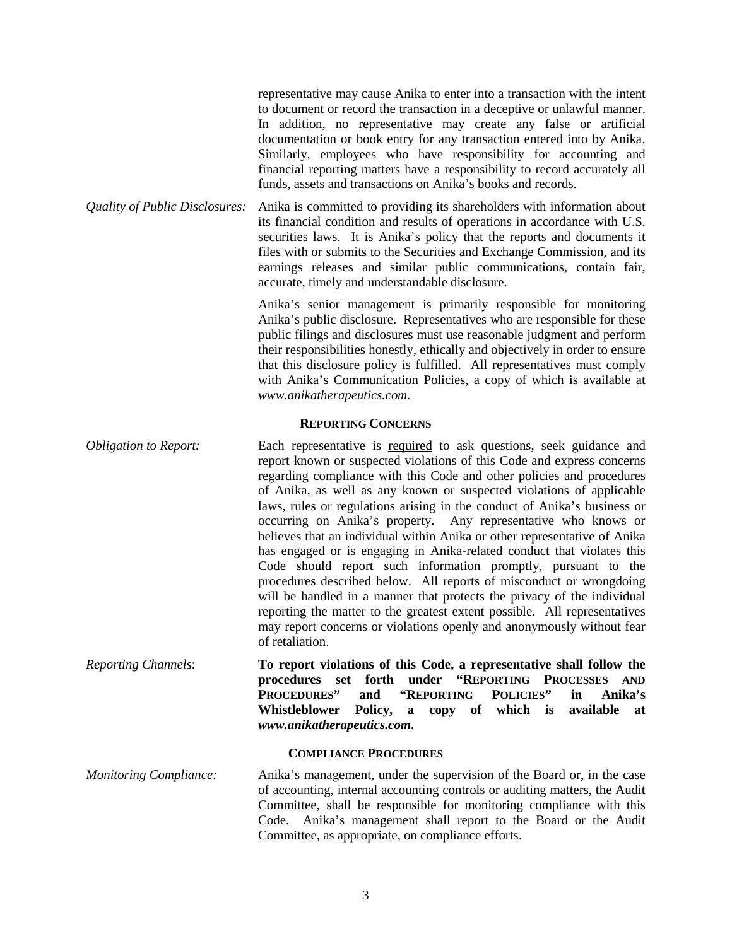|                                | representative may cause Anika to enter into a transaction with the intent<br>to document or record the transaction in a deceptive or unlawful manner.<br>In addition, no representative may create any false or artificial<br>documentation or book entry for any transaction entered into by Anika.<br>Similarly, employees who have responsibility for accounting and<br>financial reporting matters have a responsibility to record accurately all<br>funds, assets and transactions on Anika's books and records. |
|--------------------------------|------------------------------------------------------------------------------------------------------------------------------------------------------------------------------------------------------------------------------------------------------------------------------------------------------------------------------------------------------------------------------------------------------------------------------------------------------------------------------------------------------------------------|
| Quality of Public Disclosures: | Anika is committed to providing its shareholders with information about<br>its financial condition and results of operations in accordance with U.S.<br>securities laws. It is Anika's policy that the reports and documents it<br>files with or submits to the Securities and Exchange Commission, and its<br>earnings releases and similar public communications, contain fair,<br>accurate, timely and understandable disclosure.                                                                                   |
|                                | Anika's senior management is primarily responsible for monitoring<br>Anika's public disclosure. Representatives who are responsible for these<br>public filings and disclosures must use reasonable judgment and perform<br>their responsibilities honestly, ethically and objectively in order to ensure<br>that this disclosure policy is fulfilled. All representatives must comply                                                                                                                                 |

## **REPORTING CONCERNS**

*www.anikatherapeutics.com*.

with Anika's Communication Policies, a copy of which is available at

*Obligation to Report:* Each representative is required to ask questions, seek guidance and report known or suspected violations of this Code and express concerns regarding compliance with this Code and other policies and procedures of Anika, as well as any known or suspected violations of applicable laws, rules or regulations arising in the conduct of Anika's business or occurring on Anika's property. Any representative who knows or believes that an individual within Anika or other representative of Anika has engaged or is engaging in Anika-related conduct that violates this Code should report such information promptly, pursuant to the procedures described below. All reports of misconduct or wrongdoing will be handled in a manner that protects the privacy of the individual reporting the matter to the greatest extent possible. All representatives may report concerns or violations openly and anonymously without fear of retaliation.

*Reporting Channels*: **To report violations of this Code, a representative shall follow the procedures set forth under "REPORTING PROCESSES AND PROCEDURES" and "REPORTING POLICIES" in Anika's Whistleblower Policy, a copy of which is available at**  *www.anikatherapeutics.com***.**

## **COMPLIANCE PROCEDURES**

*Monitoring Compliance:* Anika's management, under the supervision of the Board or, in the case of accounting, internal accounting controls or auditing matters, the Audit Committee, shall be responsible for monitoring compliance with this Code. Anika's management shall report to the Board or the Audit Committee, as appropriate, on compliance efforts.